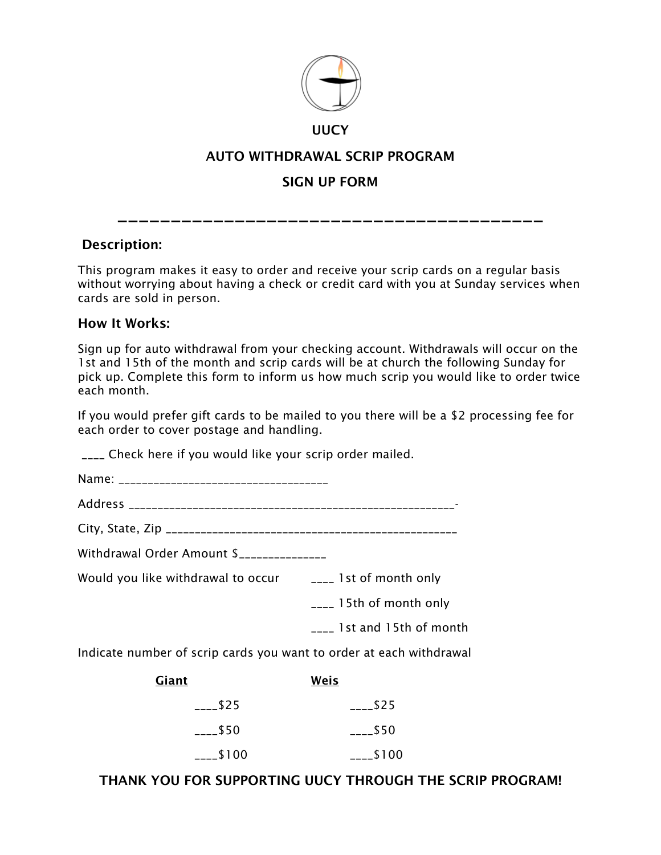

#### UUCY

### AUTO WITHDRAWAL SCRIP PROGRAM

## SIGN UP FORM

\_\_\_\_\_\_\_\_\_\_\_\_\_\_\_\_\_\_\_\_\_\_\_\_\_\_\_\_\_\_\_\_\_\_\_\_\_\_\_\_

#### Description:

This program makes it easy to order and receive your scrip cards on a regular basis without worrying about having a check or credit card with you at Sunday services when cards are sold in person.

#### How It Works:

Sign up for auto withdrawal from your checking account. Withdrawals will occur on the 1st and 15th of the month and scrip cards will be at church the following Sunday for pick up. Complete this form to inform us how much scrip you would like to order twice each month.

If you would prefer gift cards to be mailed to you there will be a \$2 processing fee for each order to cover postage and handling.

\_\_\_\_ Check here if you would like your scrip order mailed.

Name: \_\_\_\_\_\_\_\_\_\_\_\_\_\_\_\_\_\_\_\_\_\_\_\_\_\_\_\_\_\_\_\_\_\_\_\_

Address \_\_\_\_\_\_\_\_\_\_\_\_\_\_\_\_\_\_\_\_\_\_\_\_\_\_\_\_\_\_\_\_\_\_\_\_\_\_\_\_\_\_\_\_\_\_\_\_\_\_\_\_\_\_\_\_-

City, State, Zip \_\_\_\_\_\_\_\_\_\_\_\_\_\_\_\_\_\_\_\_\_\_\_\_\_\_\_\_\_\_\_\_\_\_\_\_\_\_\_\_\_\_\_\_\_\_\_\_\_\_

Withdrawal Order Amount \$\_\_\_\_\_\_\_\_\_\_\_\_\_\_\_

Would you like withdrawal to occur **Lacel 1st of month only** 

\_\_\_\_ 15th of month only

\_\_\_\_ 1st and 15th of month

Indicate number of scrip cards you want to order at each withdrawal

| <u>Giant</u>   | Weis                  |
|----------------|-----------------------|
| \$25           | $-25$                 |
| $---$50$       | $_{\frac{1}{2}}$ \$50 |
| $_{---}$ \$100 | $---$100$             |

### THANK YOU FOR SUPPORTING UUCY THROUGH THE SCRIP PROGRAM!